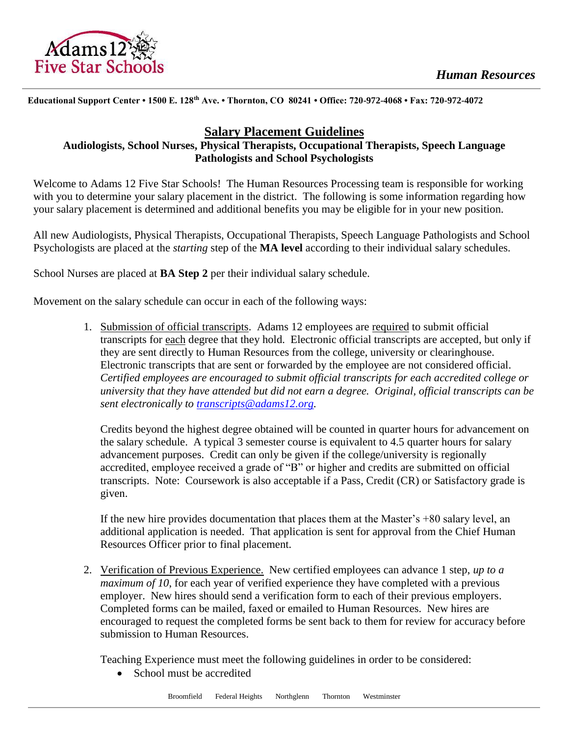

#### **Educational Support Center • 1500 E. 128th Ave. • Thornton, CO 80241 • Office: 720-972-4068 • Fax: 720-972-4072**

# **Salary Placement Guidelines**

### **Audiologists, School Nurses, Physical Therapists, Occupational Therapists, Speech Language Pathologists and School Psychologists**

Welcome to Adams 12 Five Star Schools! The Human Resources Processing team is responsible for working with you to determine your salary placement in the district. The following is some information regarding how your salary placement is determined and additional benefits you may be eligible for in your new position.

All new Audiologists, Physical Therapists, Occupational Therapists, Speech Language Pathologists and School Psychologists are placed at the *starting* step of the **MA level** according to their individual salary schedules.

School Nurses are placed at **BA Step 2** per their individual salary schedule.

Movement on the salary schedule can occur in each of the following ways:

1. Submission of official transcripts. Adams 12 employees are required to submit official transcripts for each degree that they hold. Electronic official transcripts are accepted, but only if they are sent directly to Human Resources from the college, university or clearinghouse. Electronic transcripts that are sent or forwarded by the employee are not considered official. *Certified employees are encouraged to submit official transcripts for each accredited college or university that they have attended but did not earn a degree. Original, official transcripts can be sent electronically to [transcripts@adams12.org.](mailto:transcripts@adams12.org)* 

Credits beyond the highest degree obtained will be counted in quarter hours for advancement on the salary schedule. A typical 3 semester course is equivalent to 4.5 quarter hours for salary advancement purposes. Credit can only be given if the college/university is regionally accredited, employee received a grade of "B" or higher and credits are submitted on official transcripts. Note: Coursework is also acceptable if a Pass, Credit (CR) or Satisfactory grade is given.

If the new hire provides documentation that places them at the Master's +80 salary level, an additional application is needed. That application is sent for approval from the Chief Human Resources Officer prior to final placement.

2. Verification of Previous Experience. New certified employees can advance 1 step, *up to a maximum of 10*, for each year of verified experience they have completed with a previous employer. New hires should send a verification form to each of their previous employers. Completed forms can be mailed, faxed or emailed to Human Resources. New hires are encouraged to request the completed forms be sent back to them for review for accuracy before submission to Human Resources.

Teaching Experience must meet the following guidelines in order to be considered:

• School must be accredited